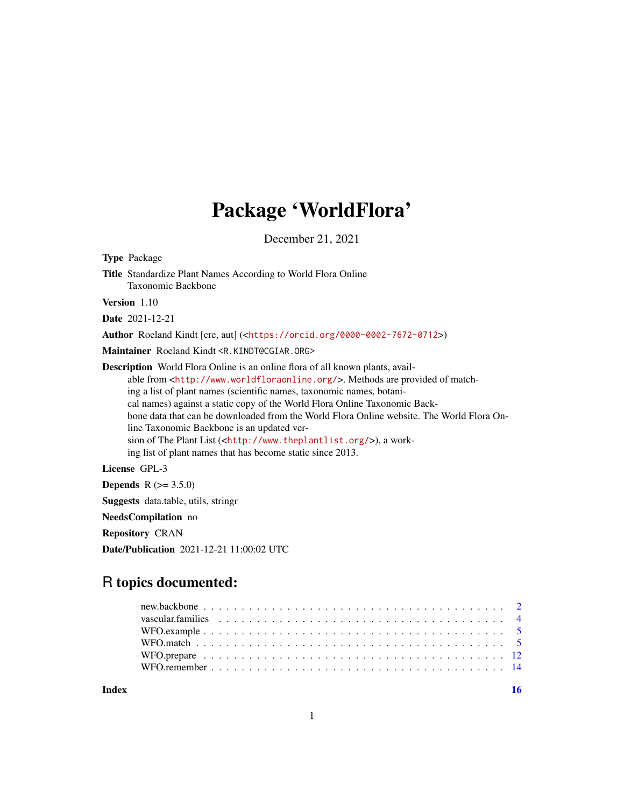# Package 'WorldFlora'

December 21, 2021

<span id="page-0-0"></span>Type Package Title Standardize Plant Names According to World Flora Online Taxonomic Backbone Version 1.10 Date 2021-12-21 Author Roeland Kindt [cre, aut] (<<https://orcid.org/0000-0002-7672-0712>>) Maintainer Roeland Kindt <R.KINDT@CGIAR.ORG> Description World Flora Online is an online flora of all known plants, available from <<http://www.worldfloraonline.org/>>. Methods are provided of matching a list of plant names (scientific names, taxonomic names, botanical names) against a static copy of the World Flora Online Taxonomic Backbone data that can be downloaded from the World Flora Online website. The World Flora Online Taxonomic Backbone is an updated version of The Plant List (<<http://www.theplantlist.org/>>), a working list of plant names that has become static since 2013.

License GPL-3

**Depends** R  $(>= 3.5.0)$ 

Suggests data.table, utils, stringr

NeedsCompilation no

Repository CRAN

Date/Publication 2021-12-21 11:00:02 UTC

# R topics documented:

**Index** the contract of the contract of the contract of the contract of the contract of the contract of the contract of the contract of the contract of the contract of the contract of the contract of the contract of the co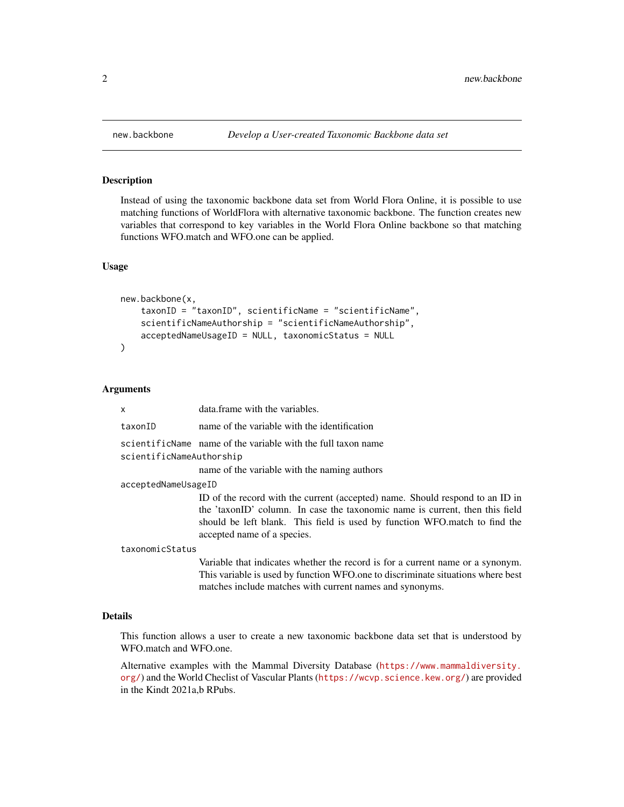#### Description

Instead of using the taxonomic backbone data set from World Flora Online, it is possible to use matching functions of WorldFlora with alternative taxonomic backbone. The function creates new variables that correspond to key variables in the World Flora Online backbone so that matching functions WFO.match and WFO.one can be applied.

#### Usage

```
new.backbone(x,
    taxonID = "taxonID", scientificName = "scientificName",
    scientificNameAuthorship = "scientificNameAuthorship",
    acceptedNameUsageID = NULL, taxonomicStatus = NULL
)
```
#### Arguments

x data.frame with the variables. taxonID name of the variable with the identification scientificName name of the variable with the full taxon name scientificNameAuthorship name of the variable with the naming authors acceptedNameUsageID ID of the record with the current (accepted) name. Should respond to an ID in the 'taxonID' column. In case the taxonomic name is current, then this field should be left blank. This field is used by function WFO.match to find the accepted name of a species. taxonomicStatus Variable that indicates whether the record is for a current name or a synonym.

This variable is used by function WFO.one to discriminate situations where best matches include matches with current names and synonyms.

#### Details

This function allows a user to create a new taxonomic backbone data set that is understood by WFO.match and WFO.one.

Alternative examples with the Mammal Diversity Database ([https://www.mammaldiversity.](https://www.mammaldiversity.org/) [org/](https://www.mammaldiversity.org/)) and the World Checlist of Vascular Plants (<https://wcvp.science.kew.org/>) are provided in the Kindt 2021a,b RPubs.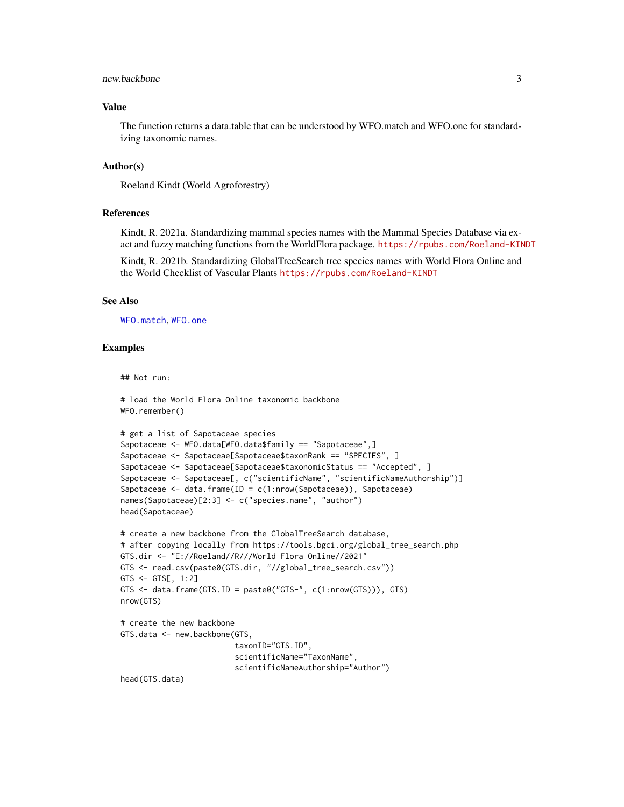#### <span id="page-2-0"></span>new.backbone 3

#### Value

The function returns a data.table that can be understood by WFO.match and WFO.one for standardizing taxonomic names.

#### Author(s)

Roeland Kindt (World Agroforestry)

#### References

Kindt, R. 2021a. Standardizing mammal species names with the Mammal Species Database via exact and fuzzy matching functions from the WorldFlora package. <https://rpubs.com/Roeland-KINDT>

Kindt, R. 2021b. Standardizing GlobalTreeSearch tree species names with World Flora Online and the World Checklist of Vascular Plants <https://rpubs.com/Roeland-KINDT>

#### See Also

[WFO.match](#page-4-1), [WFO.one](#page-4-2)

#### Examples

```
## Not run:
```

```
# load the World Flora Online taxonomic backbone
WFO.remember()
# get a list of Sapotaceae species
Sapotaceae <- WFO.data[WFO.data$family == "Sapotaceae",]
Sapotaceae <- Sapotaceae[Sapotaceae$taxonRank == "SPECIES", ]
Sapotaceae <- Sapotaceae[Sapotaceae$taxonomicStatus == "Accepted", ]
Sapotaceae <- Sapotaceae[, c("scientificName", "scientificNameAuthorship")]
Sapotaceae <- data.frame(ID = c(1:nrow(Sapotaceae)), Sapotaceae)
names(Sapotaceae)[2:3] <- c("species.name", "author")
head(Sapotaceae)
# create a new backbone from the GlobalTreeSearch database,
# after copying locally from https://tools.bgci.org/global_tree_search.php
GTS.dir <- "E://Roeland//R///World Flora Online//2021"
GTS <- read.csv(paste0(GTS.dir, "//global_tree_search.csv"))
GTS \le GTS[, 1:2]
GTS <- data.frame(GTS.ID = paste0("GTS-", c(1:nrow(GTS))), GTS)
nrow(GTS)
# create the new backbone
GTS.data <- new.backbone(GTS,
                         taxonID="GTS.ID",
                         scientificName="TaxonName",
                         scientificNameAuthorship="Author")
head(GTS.data)
```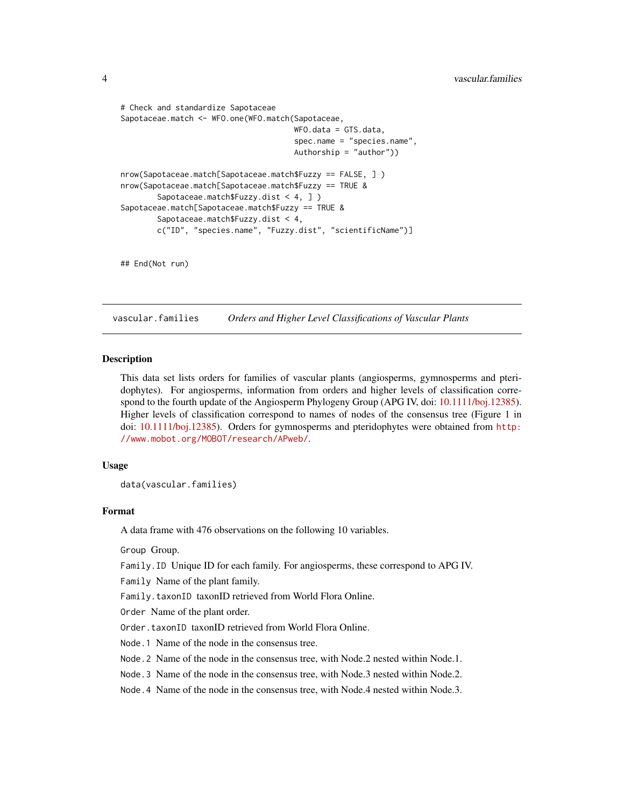```
# Check and standardize Sapotaceae
Sapotaceae.match <- WFO.one(WFO.match(Sapotaceae,
                                      WFO.data = GTS.data,
                                      spec.name = "species.name",
                                      Authorship = "author"))
nrow(Sapotaceae.match[Sapotaceae.match$Fuzzy == FALSE, ] )
nrow(Sapotaceae.match[Sapotaceae.match$Fuzzy == TRUE &
       Sapotaceae.match$Fuzzy.dist < 4, ] )
Sapotaceae.match[Sapotaceae.match$Fuzzy == TRUE &
       Sapotaceae.match$Fuzzy.dist < 4,
       c("ID", "species.name", "Fuzzy.dist", "scientificName")]
```
## End(Not run)

<span id="page-3-1"></span>vascular.families *Orders and Higher Level Classifications of Vascular Plants*

#### **Description**

This data set lists orders for families of vascular plants (angiosperms, gymnosperms and pteridophytes). For angiosperms, information from orders and higher levels of classification correspond to the fourth update of the Angiosperm Phylogeny Group (APG IV, doi: [10.1111/boj.12385\)](https://doi.org/10.1111/boj.12385). Higher levels of classification correspond to names of nodes of the consensus tree (Figure 1 in doi: [10.1111/boj.12385\)](https://doi.org/10.1111/boj.12385). Orders for gymnosperms and pteridophytes were obtained from [http:](http://www.mobot.org/MOBOT/research/APweb/) [//www.mobot.org/MOBOT/research/APweb/](http://www.mobot.org/MOBOT/research/APweb/).

#### Usage

data(vascular.families)

#### Format

A data frame with 476 observations on the following 10 variables.

Group Group.

Family.ID Unique ID for each family. For angiosperms, these correspond to APG IV.

Family Name of the plant family.

Family.taxonID taxonID retrieved from World Flora Online.

Order Name of the plant order.

Order.taxonID taxonID retrieved from World Flora Online.

Node.1 Name of the node in the consensus tree.

Node.2 Name of the node in the consensus tree, with Node.2 nested within Node.1.

Node.3 Name of the node in the consensus tree, with Node.3 nested within Node.2.

Node.4 Name of the node in the consensus tree, with Node.4 nested within Node.3.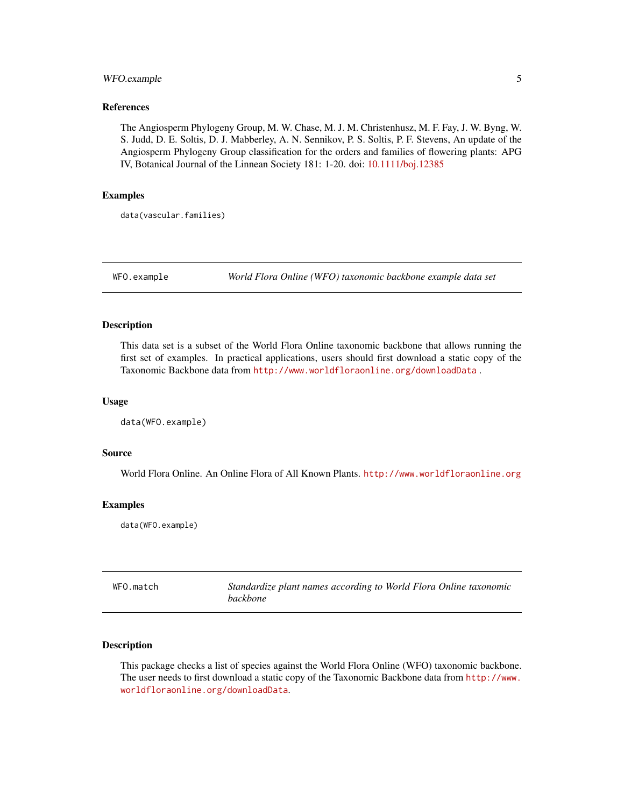# <span id="page-4-0"></span>WFO.example 5

#### References

The Angiosperm Phylogeny Group, M. W. Chase, M. J. M. Christenhusz, M. F. Fay, J. W. Byng, W. S. Judd, D. E. Soltis, D. J. Mabberley, A. N. Sennikov, P. S. Soltis, P. F. Stevens, An update of the Angiosperm Phylogeny Group classification for the orders and families of flowering plants: APG IV, Botanical Journal of the Linnean Society 181: 1-20. doi: [10.1111/boj.12385](https://doi.org/10.1111/boj.12385)

#### Examples

data(vascular.families)

WFO.example *World Flora Online (WFO) taxonomic backbone example data set*

#### Description

This data set is a subset of the World Flora Online taxonomic backbone that allows running the first set of examples. In practical applications, users should first download a static copy of the Taxonomic Backbone data from <http://www.worldfloraonline.org/downloadData>.

#### Usage

data(WFO.example)

# Source

World Flora Online. An Online Flora of All Known Plants. <http://www.worldfloraonline.org>

#### Examples

data(WFO.example)

<span id="page-4-1"></span>

| WFO.match | Standardize plant names according to World Flora Online taxonomic |  |
|-----------|-------------------------------------------------------------------|--|
|           | <i>backbone</i>                                                   |  |

#### <span id="page-4-2"></span>Description

This package checks a list of species against the World Flora Online (WFO) taxonomic backbone. The user needs to first download a static copy of the Taxonomic Backbone data from [http://www.](http://www.worldfloraonline.org/downloadData) [worldfloraonline.org/downloadData](http://www.worldfloraonline.org/downloadData).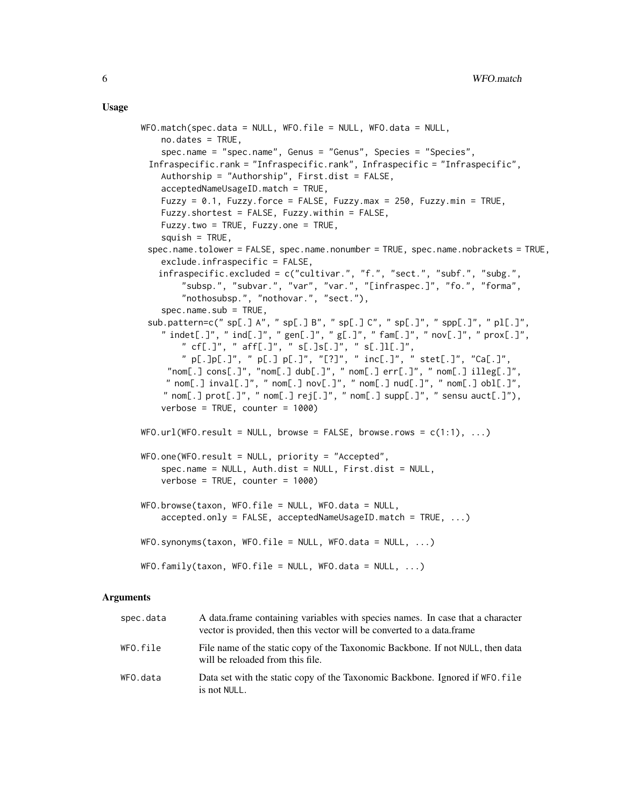#### Usage

```
WFO.match(spec.data = NULL, WFO.file = NULL, WFO.data = NULL,no.dates = TRUE,
    spec.name = "spec.name", Genus = "Genus", Species = "Species",
 Infraspecific.rank = "Infraspecific.rank", Infraspecific = "Infraspecific",
   Authorship = "Authorship", First.dist = FALSE,
   acceptedNameUsageID.match = TRUE,
   Fuzzy = 0.1, Fuzzy.force = FALSE, Fuzzy.max = 250, Fuzzy.min = TRUE,
   Fuzzy.shortest = FALSE, Fuzzy.within = FALSE,
   Fuzzy.two = TRUE, Fuzzy.one = TRUE,
   squish = TRUE,spec.name.tolower = FALSE, spec.name.nonumber = TRUE, spec.name.nobrackets = TRUE,
   exclude.infraspecific = FALSE,
   infraspecific.excluded = c("cultivar.", "f.", "sect.", "subf.", "subg.",
        "subsp.", "subvar.", "var", "var.", "[infraspec.]", "fo.", "forma",
        "nothosubsp.", "nothovar.", "sect."),
    spec.name.sub = TRUE,sub.pattern=c(" sp[.] A", " sp[.] B", " sp[.] C", " sp[.]", " spp[.]", " pl[.]",
    " indet[.]", " ind[.]", " gen[.]", " g[.]", " fam[.]", " nov[.]", " prox[.]",
        " cf[.]", " aff[.]", " s[.]s[.]", " s[.]l[.]",
        " p[.]p[.]", " p[.] p[.]", "[?]", " inc[.]", " stet[.]", "Ca[.]",
     "nom[.] cons[.]", "nom[.] dub[.]", " nom[.] err[.]", " nom[.] illeg[.]",
     " nom[.] inval[.]", "nom[.] nov[.]", "nom[.] null[.]", "nom[.] obl[.]",
    " nom[.] prot[.]", " nom[.] rej[.]", " nom[.] supp[.]", " sensu aut[.]"),
   verbose = TRUE, counter = 1000)
WFO.util(WFO.readtt = NULL, browse = FALSE, browse.com = c(1:1), ...WFO.one(WFO.result = NULL, priority = "Accepted",spec.name = NULL, Auth.dist = NULL, First.dist = NULL,
   verbose = TRUE, counter = 1000)
WFO.browse(taxon, WFO.file = NULL, WFO.data = NULL,
   accelted.out = FALSE, acceptedNameUsageID.math = TRUE, ...)WFO.synonyms(taxon, WFO.file = NULL, WFO.data = NULL, ...)
WFO.family(taxon, WFO.file = NULL, WFO.data = NULL, ...)
```
#### Arguments

| spec.data | A data frame containing variables with species names. In case that a character<br>vector is provided, then this vector will be converted to a data frame |
|-----------|----------------------------------------------------------------------------------------------------------------------------------------------------------|
| WFO.file  | File name of the static copy of the Taxonomic Backbone. If not NULL, then data<br>will be reloaded from this file.                                       |
| WFO.data  | Data set with the static copy of the Taxonomic Backbone. Ignored if WFO. file<br>is not NULL.                                                            |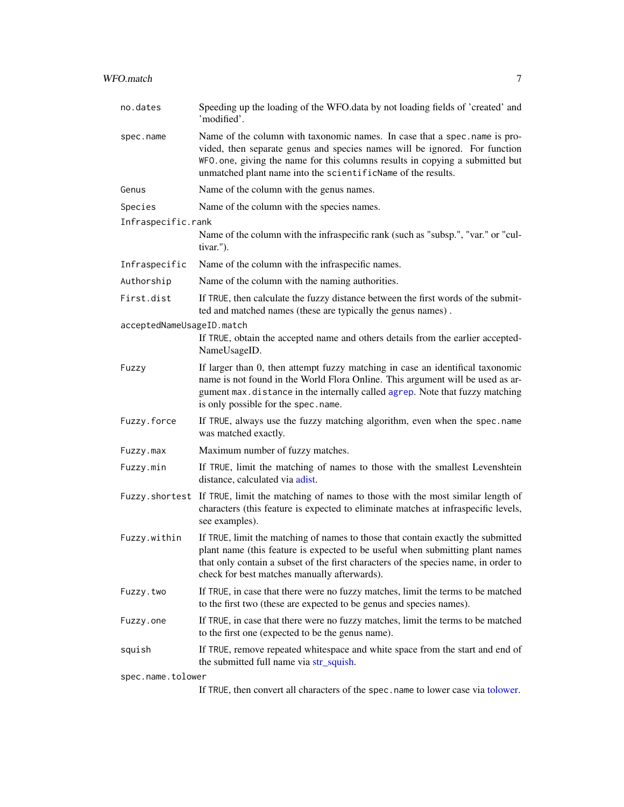<span id="page-6-0"></span>

| no.dates                  | Speeding up the loading of the WFO data by not loading fields of 'created' and<br>'modified'.                                                                                                                                                                                                            |
|---------------------------|----------------------------------------------------------------------------------------------------------------------------------------------------------------------------------------------------------------------------------------------------------------------------------------------------------|
| spec.name                 | Name of the column with taxonomic names. In case that a spec.name is pro-<br>vided, then separate genus and species names will be ignored. For function<br>WFO. one, giving the name for this columns results in copying a submitted but<br>unmatched plant name into the scientificName of the results. |
| Genus                     | Name of the column with the genus names.                                                                                                                                                                                                                                                                 |
| Species                   | Name of the column with the species names.                                                                                                                                                                                                                                                               |
| Infraspecific.rank        |                                                                                                                                                                                                                                                                                                          |
|                           | Name of the column with the infraspecific rank (such as "subsp.", "var." or "cul-<br>tivar.").                                                                                                                                                                                                           |
| Infraspecific             | Name of the column with the infraspecific names.                                                                                                                                                                                                                                                         |
| Authorship                | Name of the column with the naming authorities.                                                                                                                                                                                                                                                          |
| First.dist                | If TRUE, then calculate the fuzzy distance between the first words of the submit-<br>ted and matched names (these are typically the genus names).                                                                                                                                                        |
| acceptedNameUsageID.match | If TRUE, obtain the accepted name and others details from the earlier accepted-<br>NameUsageID.                                                                                                                                                                                                          |
| Fuzzy                     | If larger than 0, then attempt fuzzy matching in case an identifical taxonomic<br>name is not found in the World Flora Online. This argument will be used as ar-<br>gument max.distance in the internally called agrep. Note that fuzzy matching<br>is only possible for the spec.name.                  |
| Fuzzy.force               | If TRUE, always use the fuzzy matching algorithm, even when the spec.name<br>was matched exactly.                                                                                                                                                                                                        |
| Fuzzy.max                 | Maximum number of fuzzy matches.                                                                                                                                                                                                                                                                         |
| Fuzzy.min                 | If TRUE, limit the matching of names to those with the smallest Levenshtein<br>distance, calculated via adist.                                                                                                                                                                                           |
|                           | Fuzzy.shortest If TRUE, limit the matching of names to those with the most similar length of<br>characters (this feature is expected to eliminate matches at infraspecific levels,<br>see examples).                                                                                                     |
| Fuzzy.within              | If TRUE, limit the matching of names to those that contain exactly the submitted<br>plant name (this feature is expected to be useful when submitting plant names<br>that only contain a subset of the first characters of the species name, in order to<br>check for best matches manually afterwards). |
| Fuzzy.two                 | If TRUE, in case that there were no fuzzy matches, limit the terms to be matched<br>to the first two (these are expected to be genus and species names).                                                                                                                                                 |
| Fuzzy.one                 | If TRUE, in case that there were no fuzzy matches, limit the terms to be matched<br>to the first one (expected to be the genus name).                                                                                                                                                                    |
| squish                    | If TRUE, remove repeated whitespace and white space from the start and end of<br>the submitted full name via str_squish.                                                                                                                                                                                 |
| spec.name.tolower         |                                                                                                                                                                                                                                                                                                          |

If TRUE, then convert all characters of the spec.name to lower case via [tolower.](#page-0-0)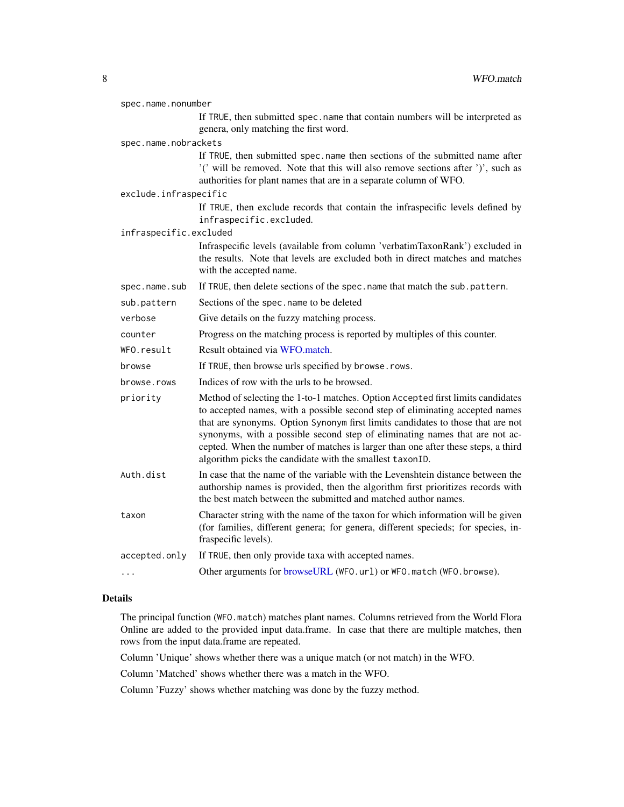<span id="page-7-0"></span>

| spec.name.nonumber     |                                                                                                                                                                                                                                                                                                                                                                                                                                                                                   |
|------------------------|-----------------------------------------------------------------------------------------------------------------------------------------------------------------------------------------------------------------------------------------------------------------------------------------------------------------------------------------------------------------------------------------------------------------------------------------------------------------------------------|
|                        | If TRUE, then submitted spec.name that contain numbers will be interpreted as<br>genera, only matching the first word.                                                                                                                                                                                                                                                                                                                                                            |
| spec.name.nobrackets   |                                                                                                                                                                                                                                                                                                                                                                                                                                                                                   |
|                        | If TRUE, then submitted spec.name then sections of the submitted name after<br>'(' will be removed. Note that this will also remove sections after ')', such as<br>authorities for plant names that are in a separate column of WFO.                                                                                                                                                                                                                                              |
| exclude.infraspecific  |                                                                                                                                                                                                                                                                                                                                                                                                                                                                                   |
|                        | If TRUE, then exclude records that contain the infraspecific levels defined by<br>infraspecific.excluded.                                                                                                                                                                                                                                                                                                                                                                         |
| infraspecific.excluded |                                                                                                                                                                                                                                                                                                                                                                                                                                                                                   |
|                        | Infraspecific levels (available from column 'verbatimTaxonRank') excluded in<br>the results. Note that levels are excluded both in direct matches and matches<br>with the accepted name.                                                                                                                                                                                                                                                                                          |
| spec.name.sub          | If TRUE, then delete sections of the spec.name that match the sub.pattern.                                                                                                                                                                                                                                                                                                                                                                                                        |
| sub.pattern            | Sections of the spec. name to be deleted                                                                                                                                                                                                                                                                                                                                                                                                                                          |
| verbose                | Give details on the fuzzy matching process.                                                                                                                                                                                                                                                                                                                                                                                                                                       |
| counter                | Progress on the matching process is reported by multiples of this counter.                                                                                                                                                                                                                                                                                                                                                                                                        |
| WFO.result             | Result obtained via WFO.match.                                                                                                                                                                                                                                                                                                                                                                                                                                                    |
| browse                 | If TRUE, then browse urls specified by browse.rows.                                                                                                                                                                                                                                                                                                                                                                                                                               |
| browse.rows            | Indices of row with the urls to be browsed.                                                                                                                                                                                                                                                                                                                                                                                                                                       |
| priority               | Method of selecting the 1-to-1 matches. Option Accepted first limits candidates<br>to accepted names, with a possible second step of eliminating accepted names<br>that are synonyms. Option Synonym first limits candidates to those that are not<br>synonyms, with a possible second step of eliminating names that are not ac-<br>cepted. When the number of matches is larger than one after these steps, a third<br>algorithm picks the candidate with the smallest taxonID. |
| Auth.dist              | In case that the name of the variable with the Levenshtein distance between the<br>authorship names is provided, then the algorithm first prioritizes records with<br>the best match between the submitted and matched author names.                                                                                                                                                                                                                                              |
| taxon                  | Character string with the name of the taxon for which information will be given<br>(for families, different genera; for genera, different specieds; for species, in-<br>fraspecific levels).                                                                                                                                                                                                                                                                                      |
| accepted.only          | If TRUE, then only provide taxa with accepted names.                                                                                                                                                                                                                                                                                                                                                                                                                              |
| .                      | Other arguments for browseURL (WFO.url) or WFO.match (WFO.browse).                                                                                                                                                                                                                                                                                                                                                                                                                |

# Details

The principal function (WFO.match) matches plant names. Columns retrieved from the World Flora Online are added to the provided input data.frame. In case that there are multiple matches, then rows from the input data.frame are repeated.

Column 'Unique' shows whether there was a unique match (or not match) in the WFO.

Column 'Matched' shows whether there was a match in the WFO.

Column 'Fuzzy' shows whether matching was done by the fuzzy method.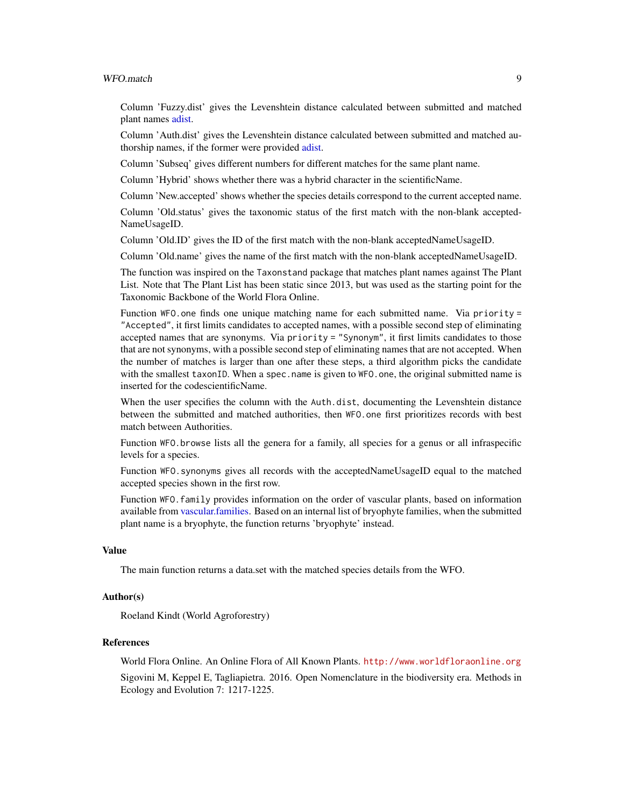#### <span id="page-8-0"></span>WFO.match 9

Column 'Fuzzy.dist' gives the Levenshtein distance calculated between submitted and matched plant names [adist.](#page-0-0)

Column 'Auth.dist' gives the Levenshtein distance calculated between submitted and matched authorship names, if the former were provided [adist.](#page-0-0)

Column 'Subseq' gives different numbers for different matches for the same plant name.

Column 'Hybrid' shows whether there was a hybrid character in the scientificName.

Column 'New.accepted' shows whether the species details correspond to the current accepted name.

Column 'Old.status' gives the taxonomic status of the first match with the non-blank accepted-NameUsageID.

Column 'Old.ID' gives the ID of the first match with the non-blank acceptedNameUsageID.

Column 'Old.name' gives the name of the first match with the non-blank acceptedNameUsageID.

The function was inspired on the Taxonstand package that matches plant names against The Plant List. Note that The Plant List has been static since 2013, but was used as the starting point for the Taxonomic Backbone of the World Flora Online.

Function WFO.one finds one unique matching name for each submitted name. Via priority = "Accepted", it first limits candidates to accepted names, with a possible second step of eliminating accepted names that are synonyms. Via priority = "Synonym", it first limits candidates to those that are not synonyms, with a possible second step of eliminating names that are not accepted. When the number of matches is larger than one after these steps, a third algorithm picks the candidate with the smallest taxonID. When a spec.name is given to WFO.one, the original submitted name is inserted for the codescientificName.

When the user specifies the column with the Auth.dist, documenting the Levenshtein distance between the submitted and matched authorities, then WFO.one first prioritizes records with best match between Authorities.

Function WFO.browse lists all the genera for a family, all species for a genus or all infraspecific levels for a species.

Function WFO.synonyms gives all records with the acceptedNameUsageID equal to the matched accepted species shown in the first row.

Function WFO.family provides information on the order of vascular plants, based on information available from [vascular.families.](#page-3-1) Based on an internal list of bryophyte families, when the submitted plant name is a bryophyte, the function returns 'bryophyte' instead.

#### Value

The main function returns a data.set with the matched species details from the WFO.

#### Author(s)

Roeland Kindt (World Agroforestry)

#### References

World Flora Online. An Online Flora of All Known Plants. <http://www.worldfloraonline.org> Sigovini M, Keppel E, Tagliapietra. 2016. Open Nomenclature in the biodiversity era. Methods in Ecology and Evolution 7: 1217-1225.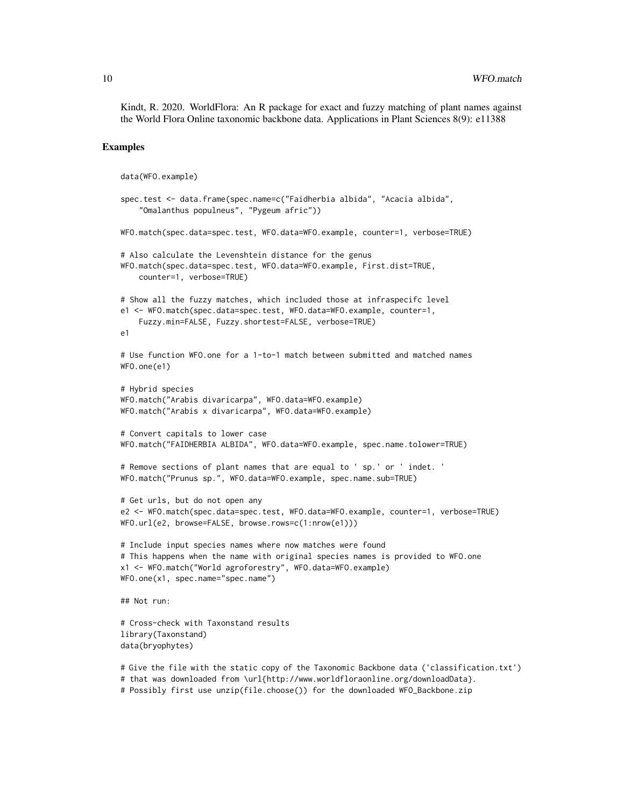Kindt, R. 2020. WorldFlora: An R package for exact and fuzzy matching of plant names against the World Flora Online taxonomic backbone data. Applications in Plant Sciences 8(9): e11388

#### Examples

```
data(WFO.example)
spec.test <- data.frame(spec.name=c("Faidherbia albida", "Acacia albida",
    "Omalanthus populneus", "Pygeum afric"))
WFO.match(spec.data=spec.test, WFO.data=WFO.example, counter=1, verbose=TRUE)
# Also calculate the Levenshtein distance for the genus
WFO.match(spec.data=spec.test, WFO.data=WFO.example, First.dist=TRUE,
    counter=1, verbose=TRUE)
# Show all the fuzzy matches, which included those at infraspecifc level
e1 <- WFO.match(spec.data=spec.test, WFO.data=WFO.example, counter=1,
    Fuzzy.min=FALSE, Fuzzy.shortest=FALSE, verbose=TRUE)
e1
# Use function WFO.one for a 1-to-1 match between submitted and matched names
WFO.one(e1)
# Hybrid species
WFO.match("Arabis divaricarpa", WFO.data=WFO.example)
WFO.match("Arabis x divaricarpa", WFO.data=WFO.example)
# Convert capitals to lower case
WFO.match("FAIDHERBIA ALBIDA", WFO.data=WFO.example, spec.name.tolower=TRUE)
# Remove sections of plant names that are equal to ' sp.' or ' indet. '
WFO.match("Prunus sp.", WFO.data=WFO.example, spec.name.sub=TRUE)
# Get urls, but do not open any
e2 <- WFO.match(spec.data=spec.test, WFO.data=WFO.example, counter=1, verbose=TRUE)
WFO.url(e2, browse=FALSE, browse.rows=c(1:nrow(e1)))
# Include input species names where now matches were found
# This happens when the name with original species names is provided to WFO.one
x1 <- WFO.match("World agroforestry", WFO.data=WFO.example)
WFO.one(x1, spec.name="spec.name")
## Not run:
# Cross-check with Taxonstand results
library(Taxonstand)
data(bryophytes)
```

```
# Give the file with the static copy of the Taxonomic Backbone data ('classification.txt')
```

```
# that was downloaded from \url{http://www.worldfloraonline.org/downloadData}.
```

```
# Possibly first use unzip(file.choose()) for the downloaded WFO_Backbone.zip
```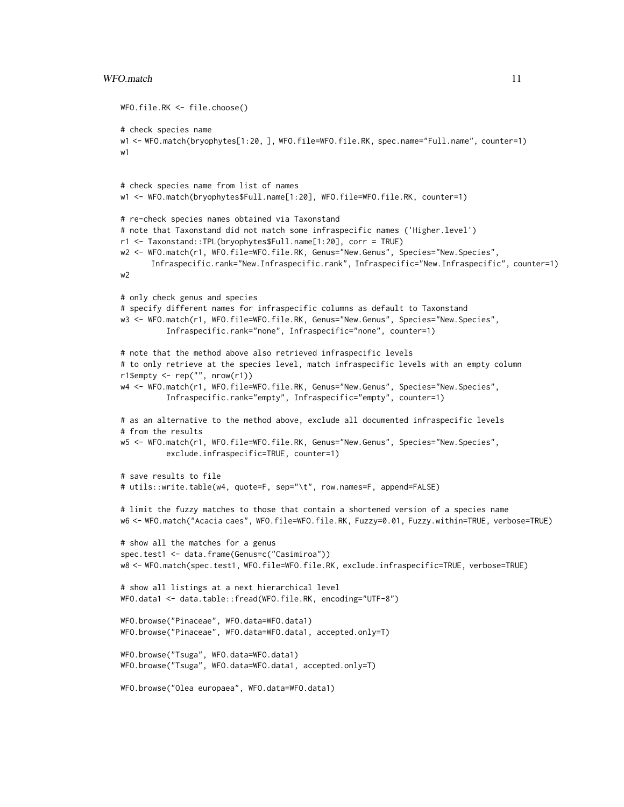#### WFO.match 11

```
WFO.file.RK <- file.choose()
# check species name
w1 <- WFO.match(bryophytes[1:20, ], WFO.file=WFO.file.RK, spec.name="Full.name", counter=1)
w1
# check species name from list of names
w1 <- WFO.match(bryophytes$Full.name[1:20], WFO.file=WFO.file.RK, counter=1)
# re-check species names obtained via Taxonstand
# note that Taxonstand did not match some infraspecific names ('Higher.level')
r1 <- Taxonstand::TPL(bryophytes$Full.name[1:20], corr = TRUE)
w2 <- WFO.match(r1, WFO.file=WFO.file.RK, Genus="New.Genus", Species="New.Species",
      Infraspecific.rank="New.Infraspecific.rank", Infraspecific="New.Infraspecific", counter=1)
w2
# only check genus and species
# specify different names for infraspecific columns as default to Taxonstand
w3 <- WFO.match(r1, WFO.file=WFO.file.RK, Genus="New.Genus", Species="New.Species",
          Infraspecific.rank="none", Infraspecific="none", counter=1)
# note that the method above also retrieved infraspecific levels
# to only retrieve at the species level, match infraspecific levels with an empty column
r1$empty <- rep("", nrow(r1))
w4 <- WFO.match(r1, WFO.file=WFO.file.RK, Genus="New.Genus", Species="New.Species",
          Infraspecific.rank="empty", Infraspecific="empty", counter=1)
# as an alternative to the method above, exclude all documented infraspecific levels
# from the results
w5 <- WFO.match(r1, WFO.file=WFO.file.RK, Genus="New.Genus", Species="New.Species",
          exclude.infraspecific=TRUE, counter=1)
# save results to file
# utils::write.table(w4, quote=F, sep="\t", row.names=F, append=FALSE)
# limit the fuzzy matches to those that contain a shortened version of a species name
w6 <- WFO.match("Acacia caes", WFO.file=WFO.file.RK, Fuzzy=0.01, Fuzzy.within=TRUE, verbose=TRUE)
# show all the matches for a genus
spec.test1 <- data.frame(Genus=c("Casimiroa"))
w8 <- WFO.match(spec.test1, WFO.file=WFO.file.RK, exclude.infraspecific=TRUE, verbose=TRUE)
# show all listings at a next hierarchical level
WFO.data1 <- data.table::fread(WFO.file.RK, encoding="UTF-8")
WFO.browse("Pinaceae", WFO.data=WFO.data1)
WFO.browse("Pinaceae", WFO.data=WFO.data1, accepted.only=T)
WFO.browse("Tsuga", WFO.data=WFO.data1)
WFO.browse("Tsuga", WFO.data=WFO.data1, accepted.only=T)
WFO.browse("Olea europaea", WFO.data=WFO.data1)
```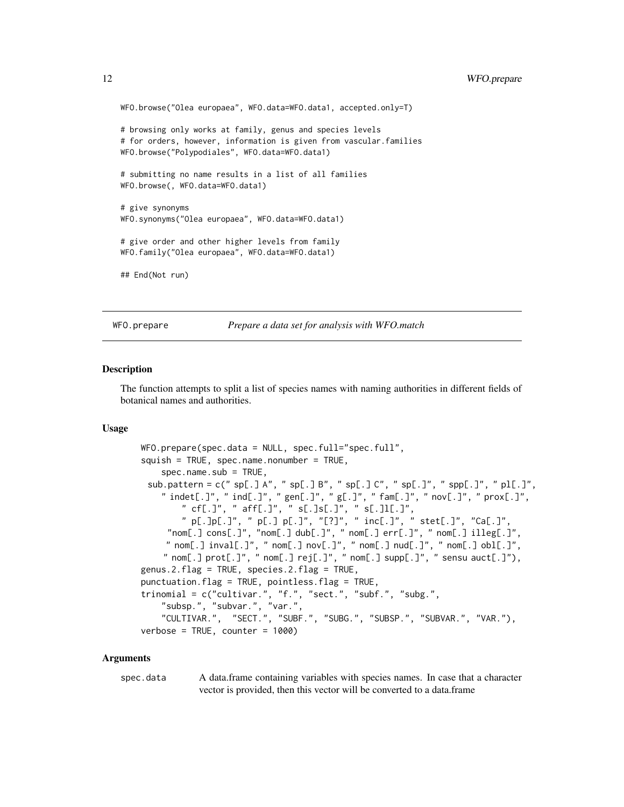```
WFO.browse("Olea europaea", WFO.data=WFO.data1, accepted.only=T)
# browsing only works at family, genus and species levels
# for orders, however, information is given from vascular.families
WFO.browse("Polypodiales", WFO.data=WFO.data1)
# submitting no name results in a list of all families
WFO.browse(, WFO.data=WFO.data1)
# give synonyms
WFO.synonyms("Olea europaea", WFO.data=WFO.data1)
# give order and other higher levels from family
WFO.family("Olea europaea", WFO.data=WFO.data1)
## End(Not run)
```
WFO.prepare *Prepare a data set for analysis with WFO.match*

#### Description

The function attempts to split a list of species names with naming authorities in different fields of botanical names and authorities.

#### Usage

```
WFO.prepare(spec.data = NULL, spec.full="spec.full",
squish = TRUE, spec.name.nonumber = TRUE,spec.name.sub = TRUE,sub.pattern = c(" sp[.] A", " sp[.] B", " sp[.] C", " sp[.]", " spp[.]", " pl[.]",
    " indet[.]", " ind[.]", " gen[.]", " g[.]", " fam[.]", " nov[.]", " prox[.]",
        " cf[.]", " aff[.]", " s[.]s[.]", " s[.]l[.]",
        " p[.]p[.]", " p[.] p[.]", "[?]", " inc[.]", " stet[.]", "Ca[.]",
     "nom[.] cons[.]", "nom[.] dub[.]", " nom[.] err[.]", " nom[.] illeg[.]"," nom[.] invall[.]", "nom[.] nov[.]", "nom[.] null[.]", "nom[.] obl[.]",
    " nom[.] prot[.]", " nom[.] rej[.]", " nom[.] supp[.]", " sensu aut[.]"),
genus.2.flag = TRUE, species.2.flag = TRUE,
punctuation.flag = TRUE, pointless.flag = TRUE,
trinomial = c("cultivar.", "f.", "sect.", "subf.", "subg.",
    "subsp.", "subvar.", "var.",
    "CULTIVAR.", "SECT.", "SUBF.", "SUBG.", "SUBSP.", "SUBVAR.", "VAR."),
verbose = TRUE, counter = 1000)
```
#### Arguments

spec.data A data.frame containing variables with species names. In case that a character vector is provided, then this vector will be converted to a data.frame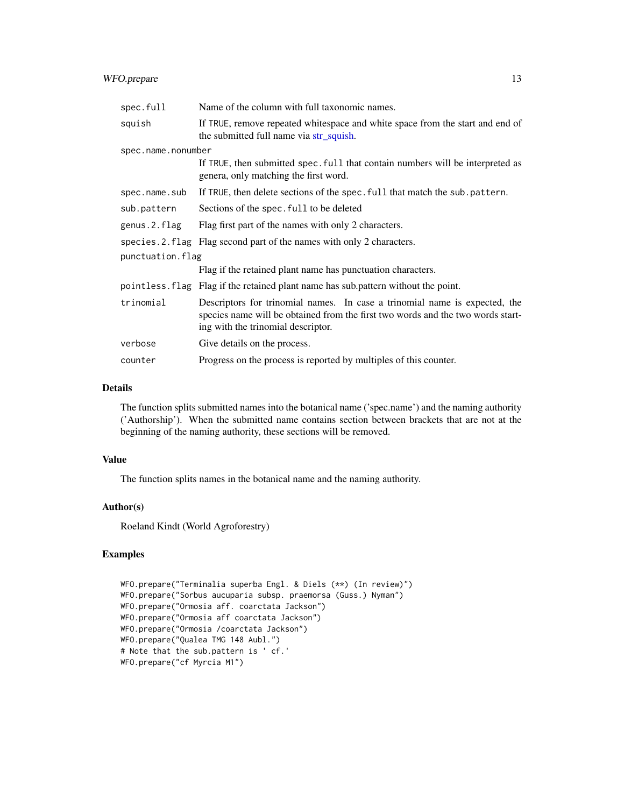# <span id="page-12-0"></span>WFO.prepare 13

| spec.full          | Name of the column with full taxonomic names.                                                                                                                                                       |
|--------------------|-----------------------------------------------------------------------------------------------------------------------------------------------------------------------------------------------------|
| squish             | If TRUE, remove repeated whitespace and white space from the start and end of<br>the submitted full name via str_squish.                                                                            |
| spec.name.nonumber |                                                                                                                                                                                                     |
|                    | If TRUE, then submitted spec. full that contain numbers will be interpreted as<br>genera, only matching the first word.                                                                             |
| spec.name.sub      | If TRUE, then delete sections of the spec. full that match the sub pattern.                                                                                                                         |
| sub.pattern        | Sections of the spec. full to be deleted                                                                                                                                                            |
| genus.2.flag       | Flag first part of the names with only 2 characters.                                                                                                                                                |
| species.2.flag     | Flag second part of the names with only 2 characters.                                                                                                                                               |
| punctuation.flag   |                                                                                                                                                                                                     |
|                    | Flag if the retained plant name has punctuation characters.                                                                                                                                         |
|                    | pointless. flag Flag if the retained plant name has sub pattern without the point.                                                                                                                  |
| trinomial          | Descriptors for trinomial names. In case a trinomial name is expected, the<br>species name will be obtained from the first two words and the two words start-<br>ing with the trinomial descriptor. |
| verbose            | Give details on the process.                                                                                                                                                                        |
| counter            | Progress on the process is reported by multiples of this counter.                                                                                                                                   |

# Details

The function splits submitted names into the botanical name ('spec.name') and the naming authority ('Authorship'). When the submitted name contains section between brackets that are not at the beginning of the naming authority, these sections will be removed.

#### Value

The function splits names in the botanical name and the naming authority.

# Author(s)

Roeland Kindt (World Agroforestry)

# Examples

```
WFO.prepare("Terminalia superba Engl. & Diels (**) (In review)")
WFO.prepare("Sorbus aucuparia subsp. praemorsa (Guss.) Nyman")
WFO.prepare("Ormosia aff. coarctata Jackson")
WFO.prepare("Ormosia aff coarctata Jackson")
WFO.prepare("Ormosia /coarctata Jackson")
WFO.prepare("Qualea TMG 148 Aubl.")
# Note that the sub.pattern is ' cf.'
WFO.prepare("cf Myrcia M1")
```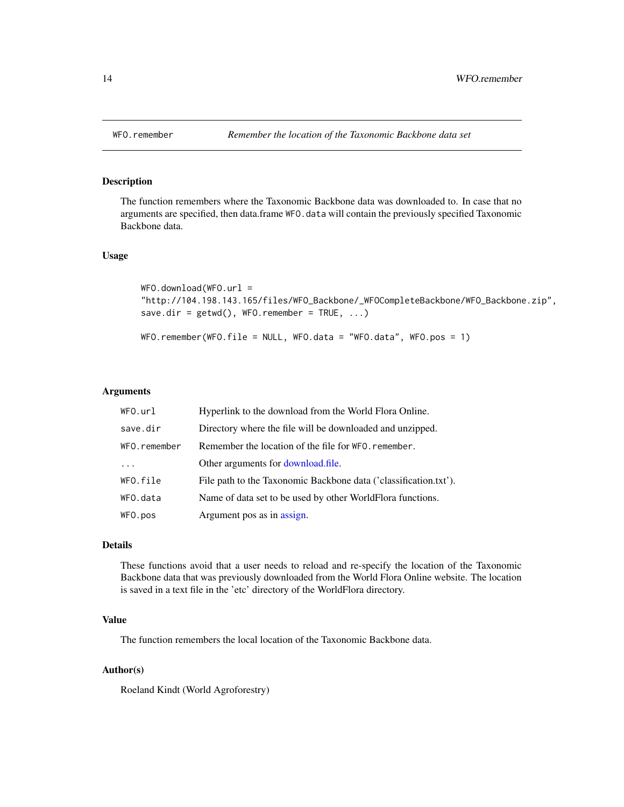<span id="page-13-0"></span>

#### Description

The function remembers where the Taxonomic Backbone data was downloaded to. In case that no arguments are specified, then data.frame WFO.data will contain the previously specified Taxonomic Backbone data.

#### Usage

```
WFO.download(WFO.url =
"http://104.198.143.165/files/WFO_Backbone/_WFOCompleteBackbone/WFO_Backbone.zip",
save.dir = getwd(), WFO.remember = TRUE, ...)
WFO.remember(WFO.file = NULL, WFO.data = "WFO.data", WFO.pos = 1)
```
#### Arguments

| WFO.url      | Hyperlink to the download from the World Flora Online.           |
|--------------|------------------------------------------------------------------|
| save.dir     | Directory where the file will be downloaded and unzipped.        |
| WFO.remember | Remember the location of the file for WFO. remember.             |
| $\ddotsc$    | Other arguments for <b>download</b> .file.                       |
| WFO.file     | File path to the Taxonomic Backbone data ('classification.txt'). |
| WFO.data     | Name of data set to be used by other WorldFlora functions.       |
| WFO.pos      | Argument pos as in assign.                                       |

#### Details

These functions avoid that a user needs to reload and re-specify the location of the Taxonomic Backbone data that was previously downloaded from the World Flora Online website. The location is saved in a text file in the 'etc' directory of the WorldFlora directory.

# Value

The function remembers the local location of the Taxonomic Backbone data.

#### Author(s)

Roeland Kindt (World Agroforestry)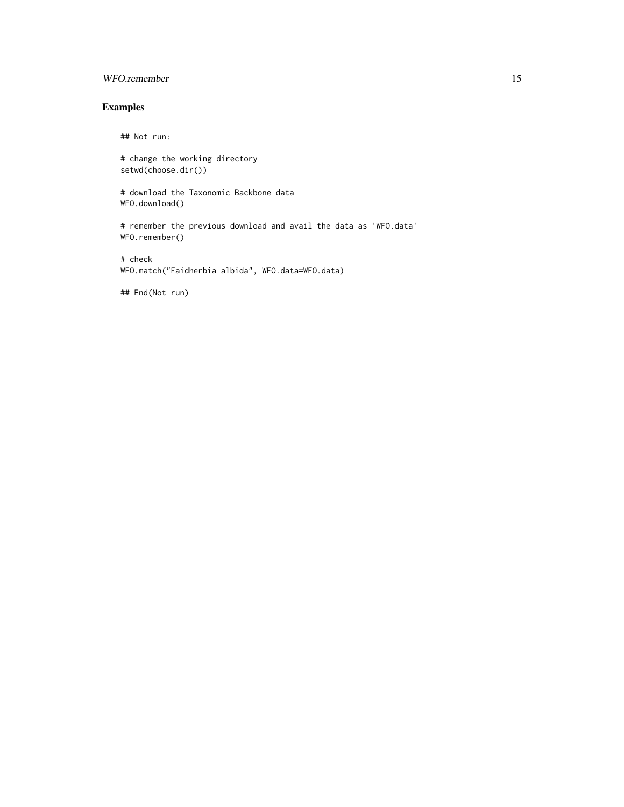# WFO.remember 15

# Examples

## Not run:

# change the working directory setwd(choose.dir())

# download the Taxonomic Backbone data WFO.download()

# remember the previous download and avail the data as 'WFO.data' WFO.remember()

# check WFO.match("Faidherbia albida", WFO.data=WFO.data)

## End(Not run)